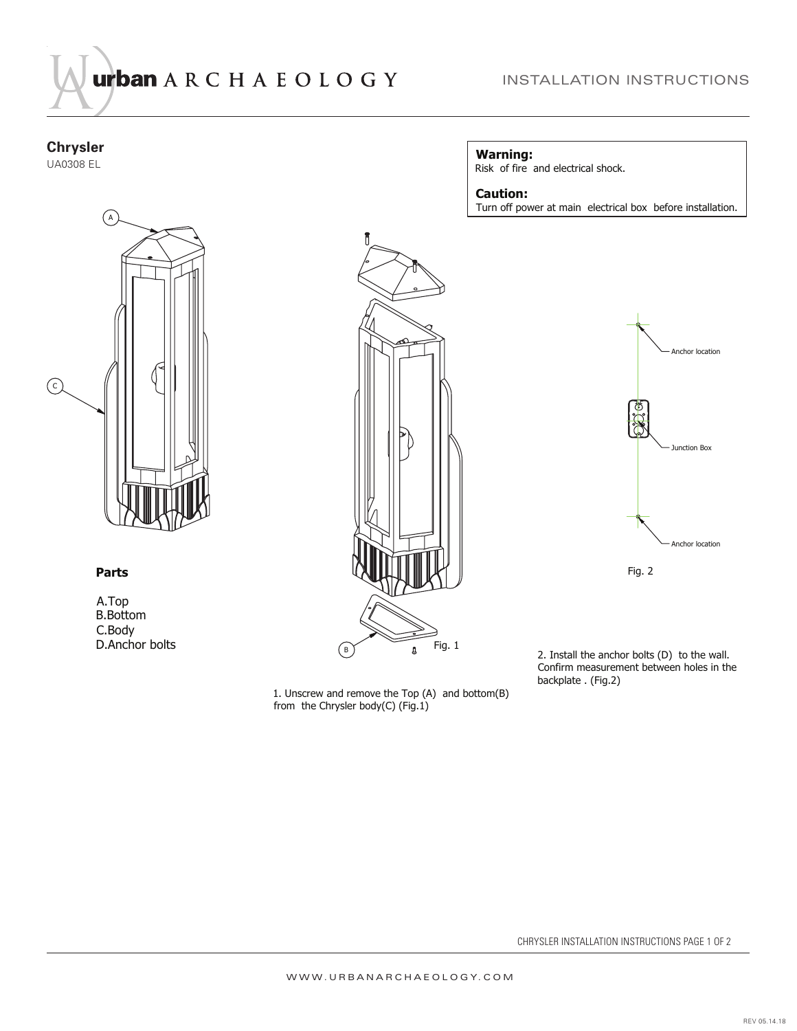

## **Chrysler**

UA0308 EL



## **Parts**

A.Top B.Bottom C.Body D.Anchor bolts



1. Unscrew and remove the Top (A) and bottom(B) from the Chrysler body(C)  $(Fig.1)$ 

## **Warning:**

Risk of fire and electrical shock.

## **Caution:**

Turn off power at main electrical box before installation.



2. Install the anchor bolts (D) to the wall. Confirm measurement between holes in the backplate . (Fig.2)